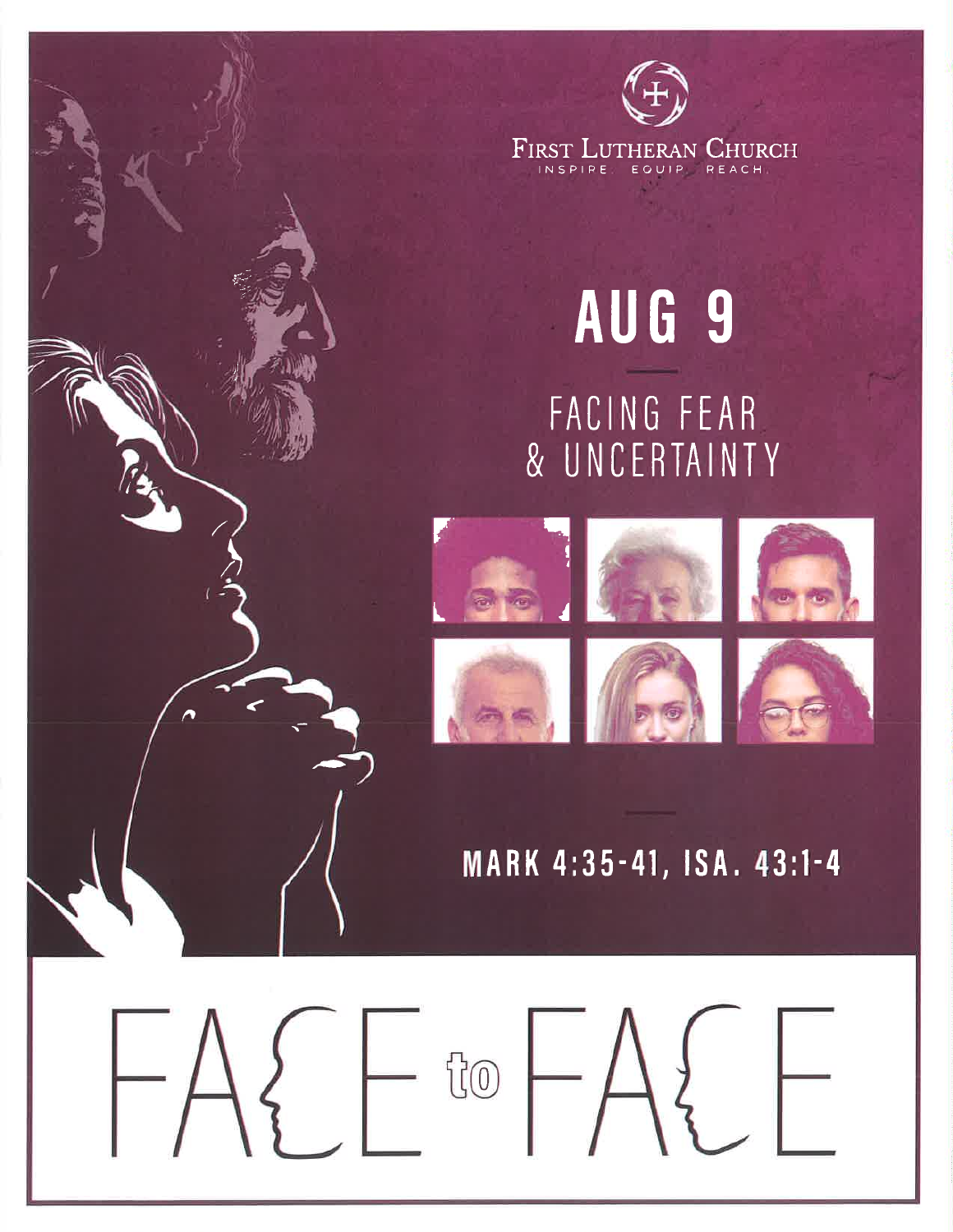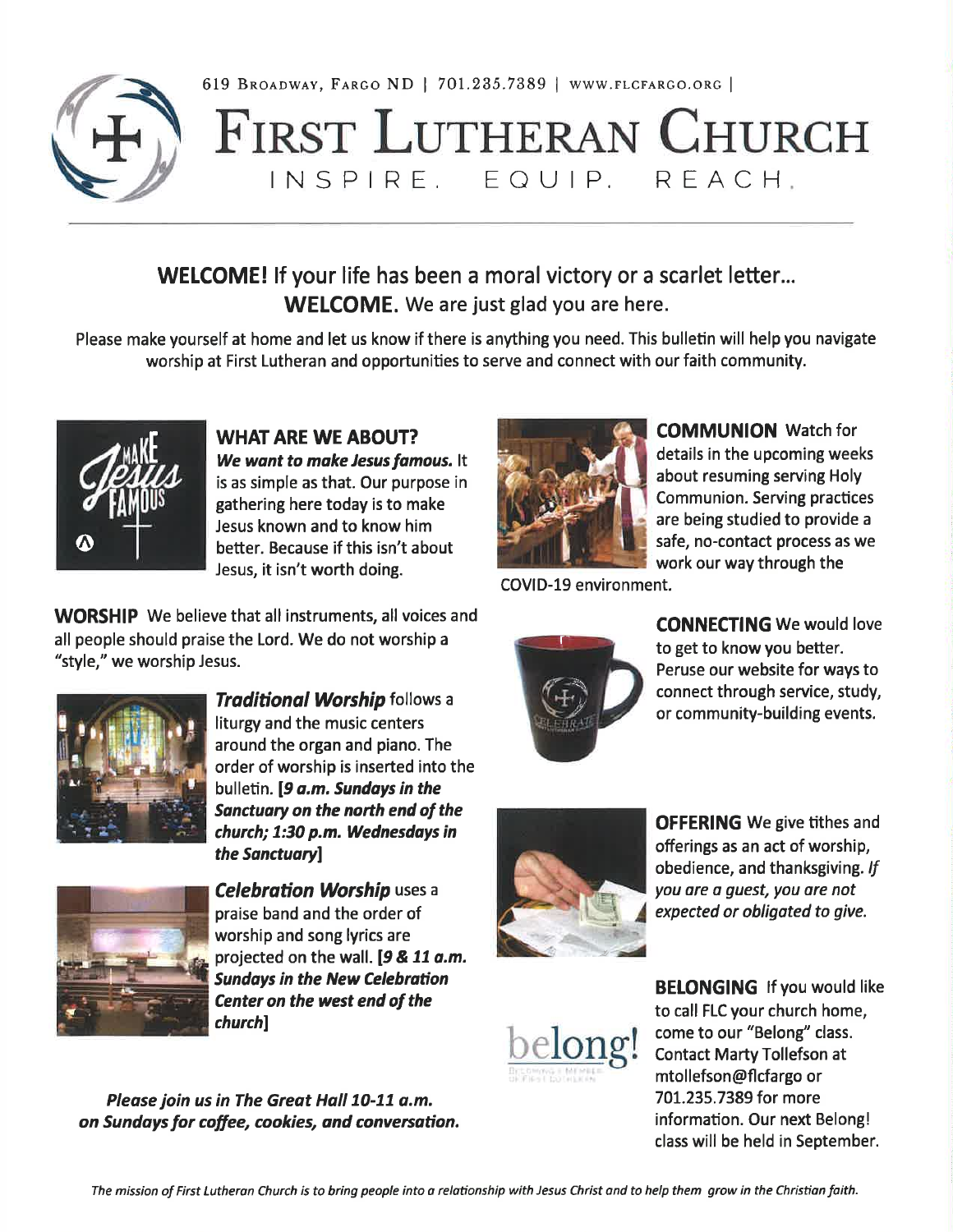

619 BROADWAY, FARGO ND | 701.235.7389 | WWW.FLCFARGO.ORG |

## **FIRST LUTHERAN CHURCH** INSPIRE. EQUIP. REACH.

## WELCOME! If your life has been a moral victory or a scarlet letter... **WELCOME.** We are just glad you are here.

Please make yourself at home and let us know if there is anything you need. This bulletin will help you navigate worship at First Lutheran and opportunities to serve and connect with our faith community.



**WHAT ARE WE ABOUT?** We want to make Jesus famous. It is as simple as that. Our purpose in gathering here today is to make Jesus known and to know him better. Because if this isn't about Jesus, it isn't worth doing.

**WORSHIP** We believe that all instruments, all voices and

all people should praise the Lord. We do not worship a



work our way through the

COVID-19 environment.



**CONNECTING We would love** to get to know you better. Peruse our website for ways to connect through service, study, or community-building events.

**COMMUNION** Watch for

details in the upcoming weeks

**Communion. Serving practices** 

are being studied to provide a

safe, no-contact process as we

about resuming serving Holy



"style," we worship Jesus.

**Traditional Worship follows a** liturgy and the music centers around the organ and piano. The order of worship is inserted into the bulletin. [9 a.m. Sundays in the Sanctuary on the north end of the church; 1:30 p.m. Wednesdays in the Sanctuary]



**Celebration Worship uses a** praise band and the order of worship and song lyrics are projected on the wall. [9 & 11 a.m. **Sundays in the New Celebration** Center on the west end of the *church*]

Please join us in The Great Hall 10-11 a.m. on Sundays for coffee, cookies, and conversation.



**OFFERING** We give tithes and offerings as an act of worship, obedience, and thanksgiving. If you are a guest, you are not expected or obligated to give.



**BELONGING If you would like** to call FLC your church home, come to our "Belong" class. **Contact Marty Tollefson at** mtollefson@flcfargo or 701.235.7389 for more information. Our next Belong! class will be held in September.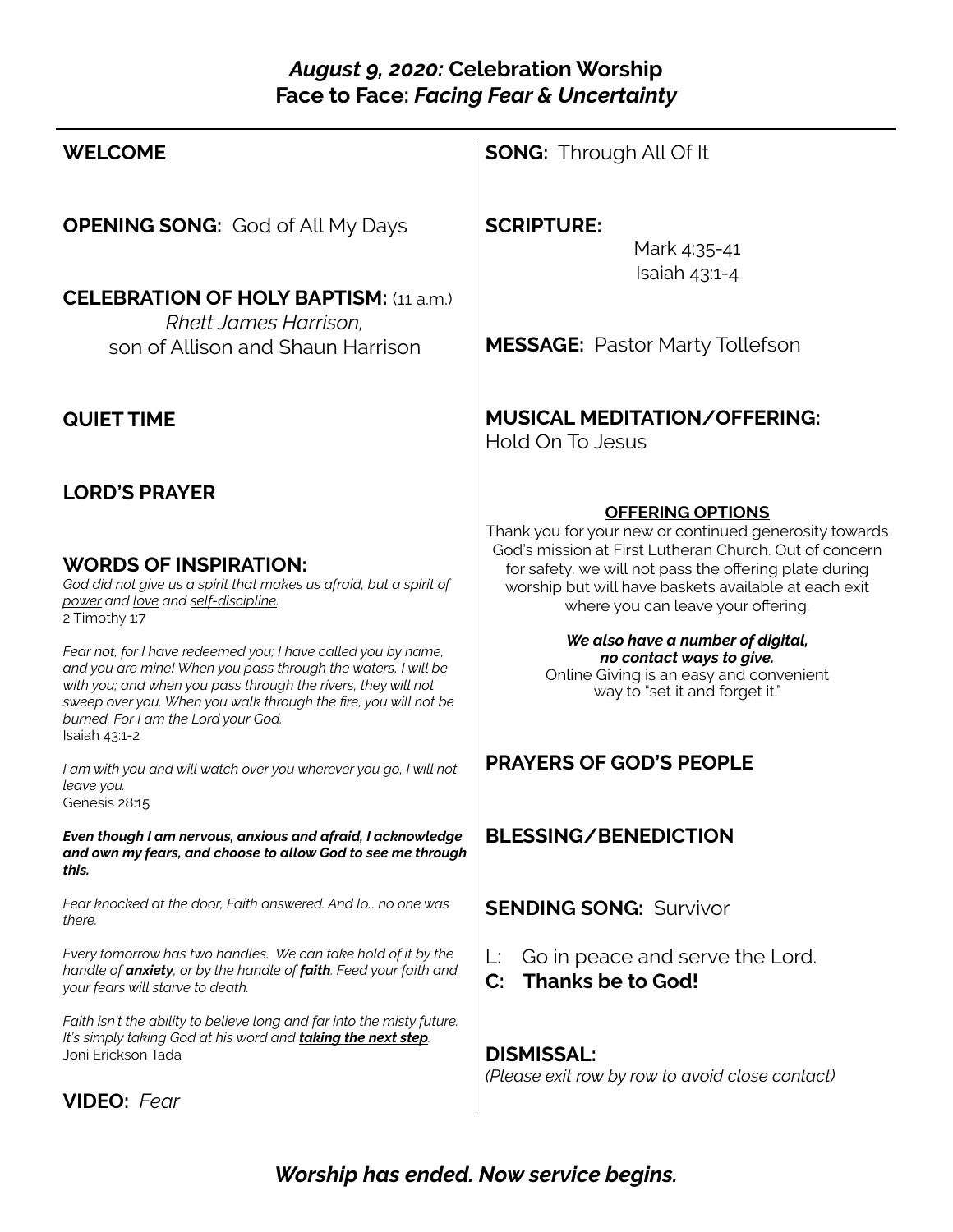## *August 9, 2020:* **Celebration Worship Face to Face:** *Facing Fear & Uncertainty*

| <b>WELCOME</b>                                                                                                                                                                                                                                                                                                             | <b>SONG:</b> Through All Of It                                                                                                                                                                                 |
|----------------------------------------------------------------------------------------------------------------------------------------------------------------------------------------------------------------------------------------------------------------------------------------------------------------------------|----------------------------------------------------------------------------------------------------------------------------------------------------------------------------------------------------------------|
| <b>OPENING SONG:</b> God of All My Days                                                                                                                                                                                                                                                                                    | <b>SCRIPTURE:</b><br>Mark 4:35-41<br>Isaiah $43:1-4$                                                                                                                                                           |
| <b>CELEBRATION OF HOLY BAPTISM: (11 a.m.)</b><br>Rhett James Harrison.<br>son of Allison and Shaun Harrison                                                                                                                                                                                                                | <b>MESSAGE:</b> Pastor Marty Tollefson                                                                                                                                                                         |
| <b>QUIET TIME</b>                                                                                                                                                                                                                                                                                                          | <b>MUSICAL MEDITATION/OFFERING:</b><br>Hold On To Jesus                                                                                                                                                        |
| <b>LORD'S PRAYER</b>                                                                                                                                                                                                                                                                                                       | <b>OFFERING OPTIONS</b><br>Thank you for your new or continued generosity towards                                                                                                                              |
| <b>WORDS OF INSPIRATION:</b><br>God did not give us a spirit that makes us afraid, but a spirit of<br>power and love and self-discipline.<br>2 Timothy 1:7                                                                                                                                                                 | God's mission at First Lutheran Church. Out of concern<br>for safety, we will not pass the offering plate during<br>worship but will have baskets available at each exit<br>where you can leave your offering. |
| Fear not, for I have redeemed you; I have called you by name,<br>and you are mine! When you pass through the waters, I will be<br>with you; and when you pass through the rivers, they will not<br>sweep over you. When you walk through the fire, you will not be<br>burned. For I am the Lord your God.<br>Isaiah 43:1-2 | We also have a number of digital,<br>no contact ways to give.<br>Online Giving is an easy and convenient<br>way to "set it and forget it."                                                                     |
| I am with you and will watch over you wherever you go, I will not<br>leave you.<br>Genesis 28:15                                                                                                                                                                                                                           | <b>PRAYERS OF GOD'S PEOPLE</b>                                                                                                                                                                                 |
| Even though I am nervous, anxious and afraid, I acknowledge<br>and own my fears, and choose to allow God to see me through<br>this.                                                                                                                                                                                        | <b>BLESSING/BENEDICTION</b>                                                                                                                                                                                    |
| Fear knocked at the door, Faith answered. And lo no one was<br>there.                                                                                                                                                                                                                                                      | <b>SENDING SONG: Survivor</b>                                                                                                                                                                                  |
| Every tomorrow has two handles. We can take hold of it by the<br>handle of anxiety, or by the handle of faith. Feed your faith and<br>your fears will starve to death.                                                                                                                                                     | Go in peace and serve the Lord.<br>L:<br><b>Thanks be to God!</b><br>$\mathbf{C}$ :                                                                                                                            |
| Faith isn't the ability to believe long and far into the misty future.<br>It's simply taking God at his word and <b>taking the next step</b> .<br>Joni Erickson Tada                                                                                                                                                       | <b>DISMISSAL:</b><br>(Please exit row by row to avoid close contact)                                                                                                                                           |
| <b>VIDEO:</b> Fear                                                                                                                                                                                                                                                                                                         |                                                                                                                                                                                                                |

*Worship has ended. Now service begins.*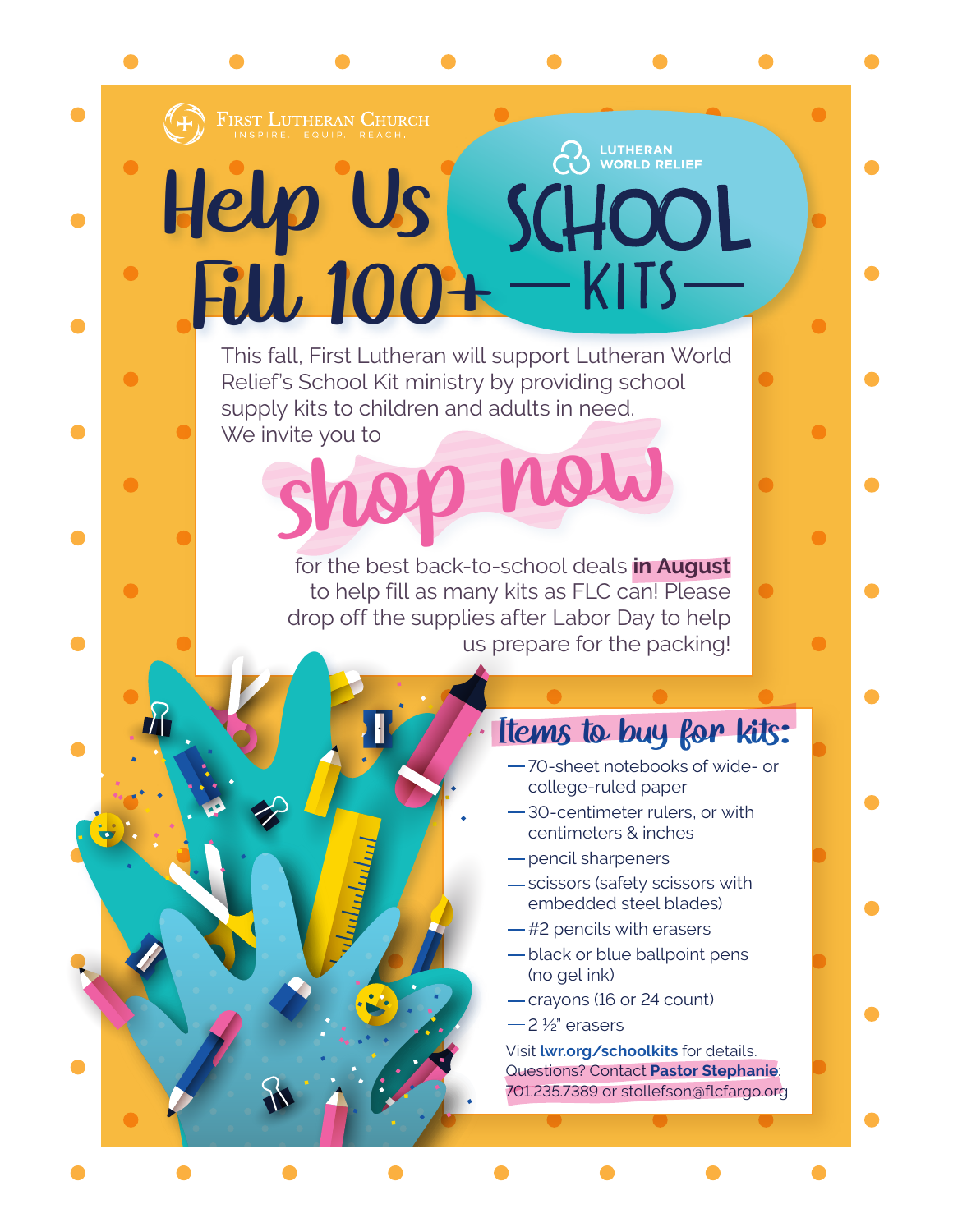

O

 $\bullet$ 

# **LUTHERAN<br>WORLD RELIEF** Help Us OOL Fill 100+

shop now This fall, First Lutheran will support Lutheran World Relief's School Kit ministry by providing school supply kits to children and adults in need. We invite you to

> for the best back-to-school deals **in August**  to help fill as many kits as FLC can! Please drop off the supplies after Labor Day to help us prepare for the packing!

## Items to buy for kits:

- 70-sheet notebooks of wide- or
- college-ruled paper
- 30-centimeter rulers, or with centimeters & inches
- pencil sharpeners
- scissors (safety scissors with embedded steel blades)
- $-$ #2 pencils with erasers
- black or blue ballpoint pens (no gel ink)
- crayons (16 or 24 count)
- $-2\frac{1}{2}$ " erasers

Visit **lwr.org/schoolkits** for details. Questions? Contact **Pastor Stephanie**: 701.235.7389 or stollefson@flcfargo.org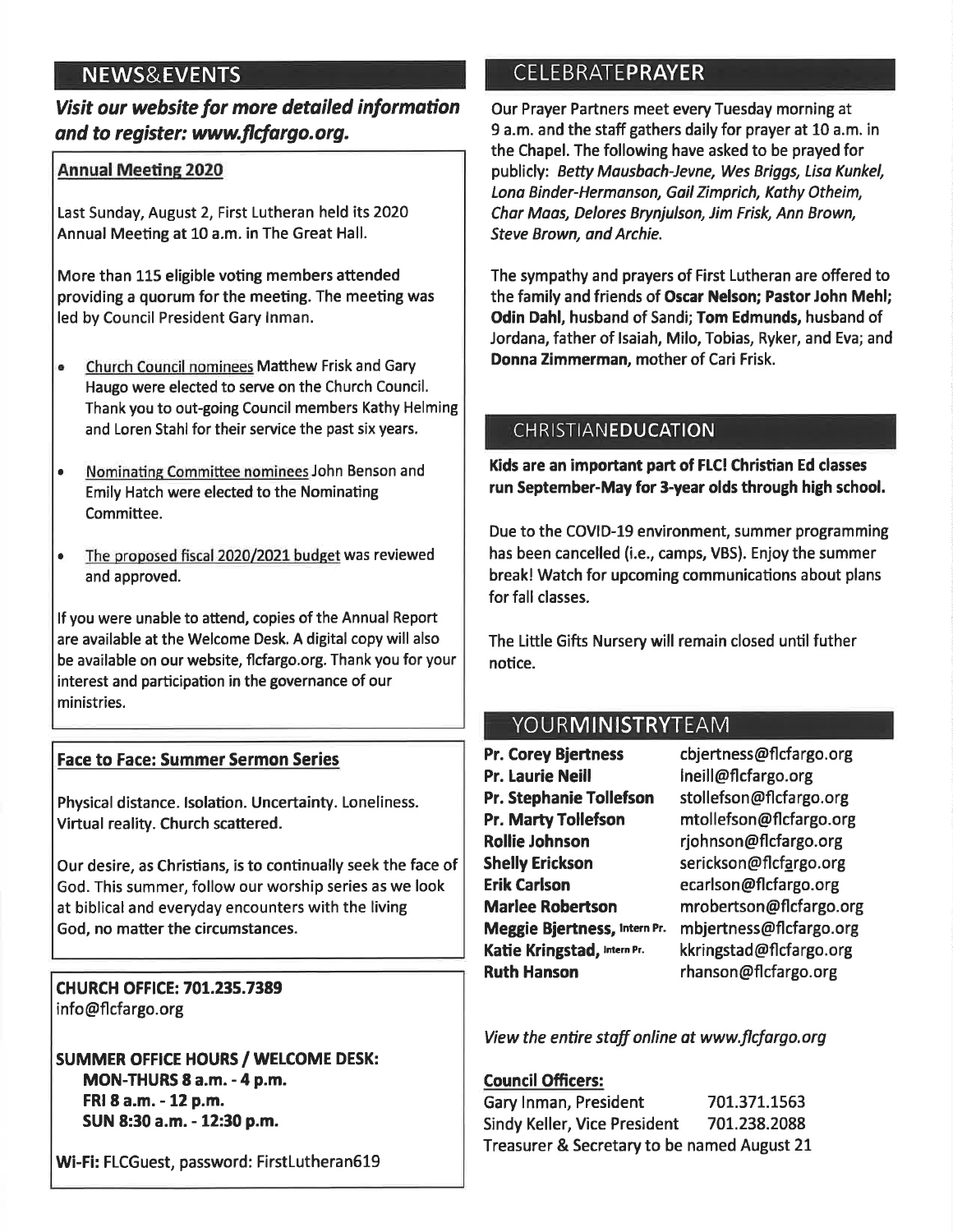## **NEWS&EVENTS**

## Visit our website for more detailed information and to register: www.flcfargo.org.

#### **Annual Meeting 2020**

Last Sunday, August 2, First Lutheran held its 2020 Annual Meeting at 10 a.m. in The Great Hall.

More than 115 eligible voting members attended providing a quorum for the meeting. The meeting was led by Council President Gary Inman.

- ė. Church Council nominees Matthew Frisk and Gary Haugo were elected to serve on the Church Council. Thank you to out-going Council members Kathy Helming and Loren Stahl for their service the past six years.
- Nominating Committee nominees John Benson and  $\bullet$ Emily Hatch were elected to the Nominating Committee.
- The proposed fiscal 2020/2021 budget was reviewed  $\bullet$ and approved.

If you were unable to attend, copies of the Annual Report are available at the Welcome Desk. A digital copy will also be available on our website, flcfargo.org. Thank you for your interest and participation in the governance of our ministries.

#### **Face to Face: Summer Sermon Series**

Physical distance. Isolation. Uncertainty. Loneliness. Virtual reality. Church scattered.

Our desire, as Christians, is to continually seek the face of God. This summer, follow our worship series as we look at biblical and everyday encounters with the living God, no matter the circumstances.

**CHURCH OFFICE: 701.235.7389** info@flcfargo.org

**SUMMER OFFICE HOURS / WELCOME DESK: MON-THURS 8 a.m. - 4 p.m.** FRI 8 a.m. - 12 p.m. SUN 8:30 a.m. - 12:30 p.m.

Wi-Fi: FLCGuest, password: FirstLutheran619

## **CELEBRATEPRAYER**

Our Prayer Partners meet every Tuesday morning at 9 a.m. and the staff gathers daily for prayer at 10 a.m. in the Chapel. The following have asked to be prayed for publicly: Betty Mausbach-Jevne, Wes Briggs, Lisa Kunkel, Lona Binder-Hermanson, Gail Zimprich, Kathy Otheim, Char Maas, Delores Brynjulson, Jim Frisk, Ann Brown, **Steve Brown, and Archie.** 

The sympathy and prayers of First Lutheran are offered to the family and friends of Oscar Nelson; Pastor John Mehl; Odin Dahl, husband of Sandi; Tom Edmunds, husband of Jordana, father of Isaiah, Milo, Tobias, Ryker, and Eva; and Donna Zimmerman, mother of Cari Frisk.

#### **CHRISTIANEDUCATION**

Kids are an important part of FLC! Christian Ed classes run September-May for 3-year olds through high school.

Due to the COVID-19 environment, summer programming has been cancelled (i.e., camps, VBS). Enjoy the summer break! Watch for upcoming communications about plans for fall classes.

The Little Gifts Nursery will remain closed until futher notice.

## YOURMINISTRYTEAM

**Pr. Corey Biertness Pr. Laurie Neill Pr. Stephanie Tollefson Pr. Marty Tollefson Rollie Johnson Shelly Erickson Erik Carlson Marlee Robertson** Meggie Bjertness, Intern Pr. Katie Kringstad, Intern Pr. **Ruth Hanson** 

cbjertness@flcfargo.org ineill@flcfargo.org stollefson@flcfargo.org mtollefson@flcfargo.org rjohnson@flcfargo.org serickson@flcfargo.org ecarlson@flcfargo.org mrobertson@flcfargo.org mbjertness@flcfargo.org kkringstad@flcfargo.org rhanson@flcfargo.org

View the entire staff online at www.flcfargo.org

#### **Council Officers:**

Gary Inman, President 701.371.1563 Sindy Keller, Vice President 701.238.2088 Treasurer & Secretary to be named August 21